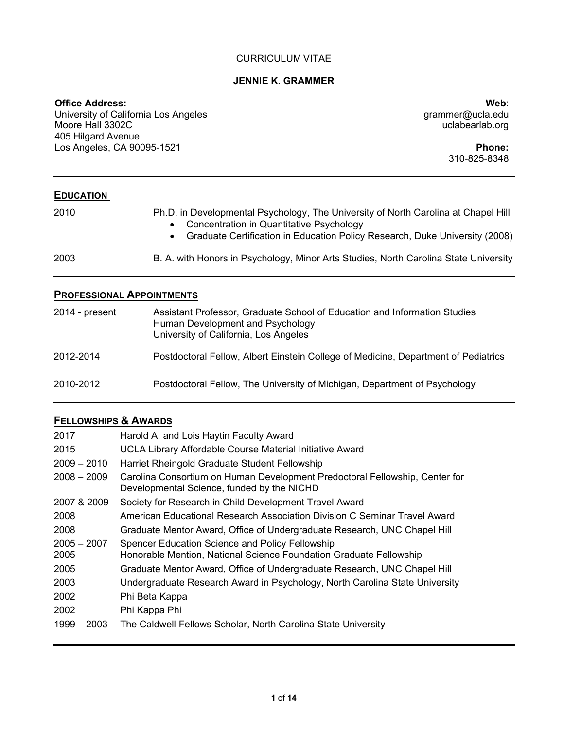### CURRICULUM VITAE

#### **JENNIE K. GRAMMER**

### **Office Address:**

University of California Los Angeles Moore Hall 3302C 405 Hilgard Avenue Los Angeles, CA 90095-1521

**Web**: grammer@ucla.edu uclabearlab.org

> **Phone:** 310-825-8348

## **EDUCATION**

| 2010 | Ph.D. in Developmental Psychology, The University of North Carolina at Chapel Hill<br>• Concentration in Quantitative Psychology<br>Graduate Certification in Education Policy Research, Duke University (2008) |
|------|-----------------------------------------------------------------------------------------------------------------------------------------------------------------------------------------------------------------|
| 2003 | B. A. with Honors in Psychology, Minor Arts Studies, North Carolina State University                                                                                                                            |

## **PROFESSIONAL APPOINTMENTS**

| 2014 - present | Assistant Professor, Graduate School of Education and Information Studies<br>Human Development and Psychology<br>University of California, Los Angeles |
|----------------|--------------------------------------------------------------------------------------------------------------------------------------------------------|
| 2012-2014      | Postdoctoral Fellow, Albert Einstein College of Medicine, Department of Pediatrics                                                                     |
| 2010-2012      | Postdoctoral Fellow, The University of Michigan, Department of Psychology                                                                              |

# **FELLOWSHIPS & AWARDS**

| 2017                  | Harold A. and Lois Haytin Faculty Award                                                                                   |
|-----------------------|---------------------------------------------------------------------------------------------------------------------------|
| 2015                  | UCLA Library Affordable Course Material Initiative Award                                                                  |
| $2009 - 2010$         | Harriet Rheingold Graduate Student Fellowship                                                                             |
| $2008 - 2009$         | Carolina Consortium on Human Development Predoctoral Fellowship, Center for<br>Developmental Science, funded by the NICHD |
| 2007 & 2009           | Society for Research in Child Development Travel Award                                                                    |
| 2008                  | American Educational Research Association Division C Seminar Travel Award                                                 |
| 2008                  | Graduate Mentor Award, Office of Undergraduate Research, UNC Chapel Hill                                                  |
| $2005 - 2007$<br>2005 | Spencer Education Science and Policy Fellowship<br>Honorable Mention, National Science Foundation Graduate Fellowship     |
| 2005                  | Graduate Mentor Award, Office of Undergraduate Research, UNC Chapel Hill                                                  |
| 2003                  | Undergraduate Research Award in Psychology, North Carolina State University                                               |
| 2002                  | Phi Beta Kappa                                                                                                            |
| 2002                  | Phi Kappa Phi                                                                                                             |
| $1999 - 2003$         | The Caldwell Fellows Scholar, North Carolina State University                                                             |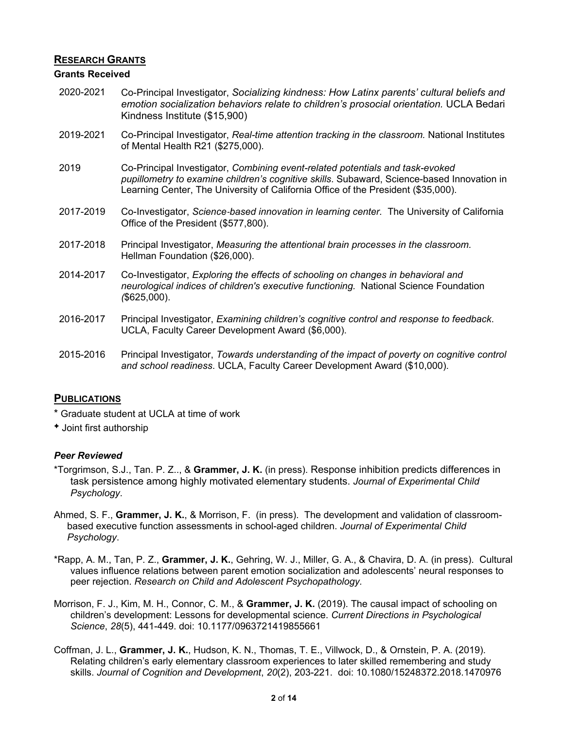## **RESEARCH GRANTS**

### **Grants Received**

- 2020-2021 Co-Principal Investigator, *Socializing kindness: How Latinx parents' cultural beliefs and emotion socialization behaviors relate to children's prosocial orientation.* UCLA Bedari Kindness Institute (\$15,900)
- 2019-2021 Co-Principal Investigator, *Real-time attention tracking in the classroom.* National Institutes of Mental Health R21 (\$275,000).
- 2019 Co-Principal Investigator, *Combining event-related potentials and task-evoked pupillometry to examine children's cognitive skills*. Subaward, Science-based Innovation in Learning Center, The University of California Office of the President (\$35,000).
- 2017-2019 Co-Investigator, *Science*‐*based innovation in learning center.* The University of California Office of the President (\$577,800).
- 2017-2018 Principal Investigator, *Measuring the attentional brain processes in the classroom.* Hellman Foundation (\$26,000).
- 2014-2017 Co-Investigator, *Exploring the effects of schooling on changes in behavioral and neurological indices of children's executive functioning.* National Science Foundation *(*\$625,000).
- 2016-2017 Principal Investigator, *Examining children's cognitive control and response to feedback*. UCLA, Faculty Career Development Award (\$6,000).
- 2015-2016 Principal Investigator, *Towards understanding of the impact of poverty on cognitive control and school readiness*. UCLA, Faculty Career Development Award (\$10,000).

## **PUBLICATIONS**

\* Graduate student at UCLA at time of work

Joint first authorship

## *Peer Reviewed*

- \*Torgrimson, S.J., Tan. P. Z.., & **Grammer, J. K.** (in press). Response inhibition predicts differences in task persistence among highly motivated elementary students. *Journal of Experimental Child Psychology*.
- Ahmed, S. F., **Grammer, J. K.**, & Morrison, F. (in press). The development and validation of classroombased executive function assessments in school-aged children. *Journal of Experimental Child Psychology*.
- \*Rapp, A. M., Tan, P. Z., **Grammer, J. K.**, Gehring, W. J., Miller, G. A., & Chavira, D. A. (in press). Cultural values influence relations between parent emotion socialization and adolescents' neural responses to peer rejection. *Research on Child and Adolescent Psychopathology.*
- Morrison, F. J., Kim, M. H., Connor, C. M., & **Grammer, J. K.** (2019). The causal impact of schooling on children's development: Lessons for developmental science. *Current Directions in Psychological Science*, *28*(5), 441-449. doi: 10.1177/0963721419855661
- Coffman, J. L., **Grammer, J. K.**, Hudson, K. N., Thomas, T. E., Villwock, D., & Ornstein, P. A. (2019). Relating children's early elementary classroom experiences to later skilled remembering and study skills. *Journal of Cognition and Development*, *20*(2), 203-221. doi: 10.1080/15248372.2018.1470976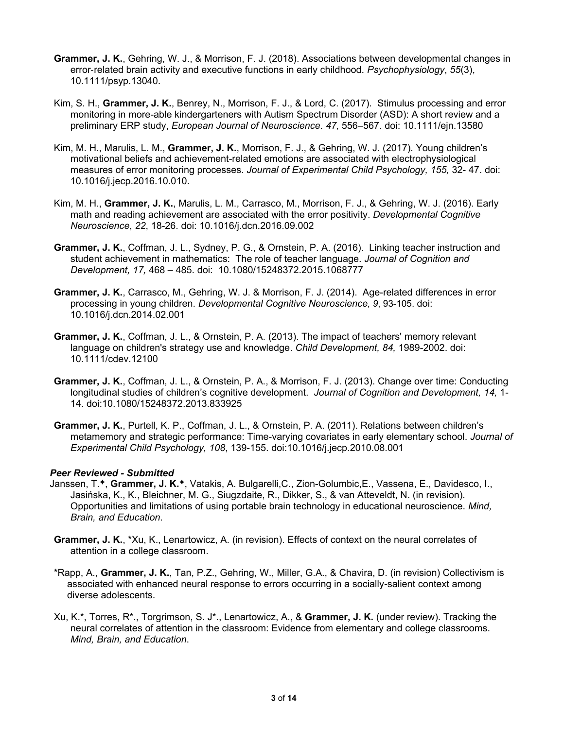- **Grammer, J. K.**, Gehring, W. J., & Morrison, F. J. (2018). Associations between developmental changes in error‐related brain activity and executive functions in early childhood. *Psychophysiology*, *55*(3), 10.1111/psyp.13040.
- Kim, S. H., **Grammer, J. K.**, Benrey, N., Morrison, F. J., & Lord, C. (2017). Stimulus processing and error monitoring in more-able kindergarteners with Autism Spectrum Disorder (ASD): A short review and a preliminary ERP study, *European Journal of Neuroscience*. *47,* 556–567. doi: 10.1111/ejn.13580
- Kim, M. H., Marulis, L. M., **Grammer, J. K.**, Morrison, F. J., & Gehring, W. J. (2017). Young children's motivational beliefs and achievement-related emotions are associated with electrophysiological measures of error monitoring processes. *Journal of Experimental Child Psychology, 155,* 32- 47. doi: 10.1016/j.jecp.2016.10.010.
- Kim, M. H., **Grammer, J. K.**, Marulis, L. M., Carrasco, M., Morrison, F. J., & Gehring, W. J. (2016). Early math and reading achievement are associated with the error positivity. *Developmental Cognitive Neuroscience*, *22*, 18-26. doi: 10.1016/j.dcn.2016.09.002
- **Grammer, J. K.**, Coffman, J. L., Sydney, P. G., & Ornstein, P. A. (2016). Linking teacher instruction and student achievement in mathematics: The role of teacher language. *Journal of Cognition and Development, 17,* 468 – 485. doi: 10.1080/15248372.2015.1068777
- **Grammer, J. K.**, Carrasco, M., Gehring, W. J. & Morrison, F. J. (2014). Age-related differences in error processing in young children. *Developmental Cognitive Neuroscience, 9*, 93-105. doi: 10.1016/j.dcn.2014.02.001
- **Grammer, J. K.**, Coffman, J. L., & Ornstein, P. A. (2013). The impact of teachers' memory relevant language on children's strategy use and knowledge. *Child Development, 84,* 1989-2002. doi: 10.1111/cdev.12100
- **Grammer, J. K.**, Coffman, J. L., & Ornstein, P. A., & Morrison, F. J. (2013). Change over time: Conducting longitudinal studies of children's cognitive development. *Journal of Cognition and Development, 14,* 1- 14. doi:10.1080/15248372.2013.833925
- **Grammer, J. K.**, Purtell, K. P., Coffman, J. L., & Ornstein, P. A. (2011). Relations between children's metamemory and strategic performance: Time-varying covariates in early elementary school. *Journal of Experimental Child Psychology, 108*, 139-155. doi:10.1016/j.jecp.2010.08.001

### *Peer Reviewed - Submitted*

- Janssen, T.<sup>\*</sup>, Grammer, J. K.<sup>\*</sup>, Vatakis, A. Bulgarelli,C., Zion-Golumbic,E., Vassena, E., Davidesco, I., Jasińska, K., K., Bleichner, M. G., Siugzdaite, R., Dikker, S., & van Atteveldt, N. (in revision). Opportunities and limitations of using portable brain technology in educational neuroscience. *Mind, Brain, and Education*.
- **Grammer, J. K.**, \*Xu, K., Lenartowicz, A. (in revision). Effects of context on the neural correlates of attention in a college classroom.
- \*Rapp, A., **Grammer, J. K.**, Tan, P.Z., Gehring, W., Miller, G.A., & Chavira, D. (in revision) Collectivism is associated with enhanced neural response to errors occurring in a socially-salient context among diverse adolescents.
- Xu, K.\*, Torres, R\*., Torgrimson, S. J\*., Lenartowicz, A., & **Grammer, J. K.** (under review). Tracking the neural correlates of attention in the classroom: Evidence from elementary and college classrooms. *Mind, Brain, and Education*.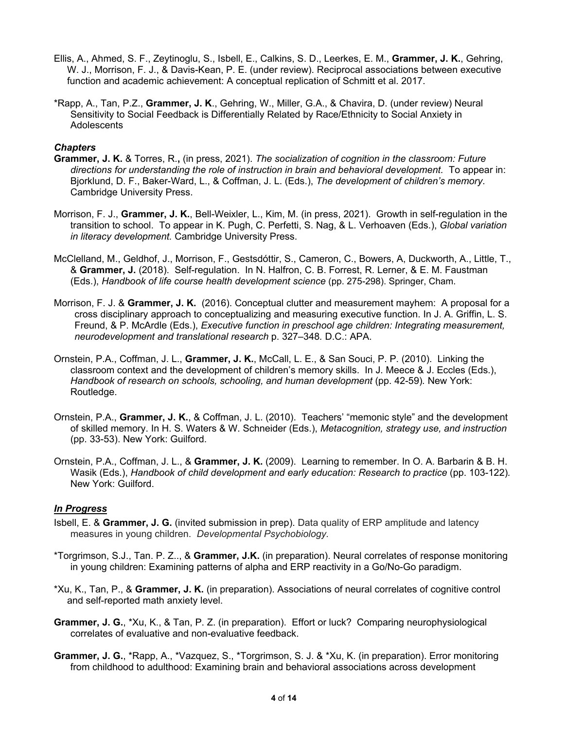- Ellis, A., Ahmed, S. F., Zeytinoglu, S., Isbell, E., Calkins, S. D., Leerkes, E. M., **Grammer, J. K.**, Gehring, W. J., Morrison, F. J., & Davis-Kean, P. E. (under review). Reciprocal associations between executive function and academic achievement: A conceptual replication of Schmitt et al. 2017.
- \*Rapp, A., Tan, P.Z., **Grammer, J. K**., Gehring, W., Miller, G.A., & Chavira, D. (under review) Neural Sensitivity to Social Feedback is Differentially Related by Race/Ethnicity to Social Anxiety in **Adolescents**

### *Chapters*

- **Grammer, J. K.** & Torres, R.**,** (in press, 2021). *The socialization of cognition in the classroom: Future directions for understanding the role of instruction in brain and behavioral development.* To appear in: Bjorklund, D. F., Baker-Ward, L., & Coffman, J. L. (Eds.), *The development of children's memory*. Cambridge University Press.
- Morrison, F. J., **Grammer, J. K.**, Bell-Weixler, L., Kim, M. (in press, 2021). Growth in self-regulation in the transition to school. To appear in K. Pugh, C. Perfetti, S. Nag, & L. Verhoaven (Eds.), *Global variation in literacy development.* Cambridge University Press.
- McClelland, M., Geldhof, J., Morrison, F., Gestsdóttir, S., Cameron, C., Bowers, A, Duckworth, A., Little, T., & **Grammer, J.** (2018). Self-regulation. In N. Halfron, C. B. Forrest, R. Lerner, & E. M. Faustman (Eds.), *Handbook of life course health development science* (pp. 275-298). Springer, Cham.
- Morrison, F. J. & **Grammer, J. K.** (2016). Conceptual clutter and measurement mayhem: A proposal for a cross disciplinary approach to conceptualizing and measuring executive function. In J. A. Griffin, L. S. Freund, & P. McArdle (Eds.), *Executive function in preschool age children: Integrating measurement, neurodevelopment and translational research* p. 327–348*.* D.C.: APA.
- Ornstein, P.A., Coffman, J. L., **Grammer, J. K.**, McCall, L. E., & San Souci, P. P. (2010). Linking the classroom context and the development of children's memory skills. In J. Meece & J. Eccles (Eds.), *Handbook of research on schools, schooling, and human development (pp. 42-59). New York:* Routledge.
- Ornstein, P.A., **Grammer, J. K.**, & Coffman, J. L. (2010). Teachers' "memonic style" and the development of skilled memory. In H. S. Waters & W. Schneider (Eds.), *Metacognition, strategy use, and instruction*  (pp. 33-53). New York: Guilford.
- Ornstein, P.A., Coffman, J. L., & **Grammer, J. K.** (2009). Learning to remember. In O. A. Barbarin & B. H. Wasik (Eds.), *Handbook of child development and early education: Research to practice* (pp. 103-122). New York: Guilford.

### *In Progress*

- Isbell, E. & **Grammer, J. G.** (invited submission in prep). Data quality of ERP amplitude and latency measures in young children. *Developmental Psychobiology.*
- \*Torgrimson, S.J., Tan. P. Z.., & **Grammer, J.K.** (in preparation). Neural correlates of response monitoring in young children: Examining patterns of alpha and ERP reactivity in a Go/No-Go paradigm.
- \*Xu, K., Tan, P., & **Grammer, J. K.** (in preparation). Associations of neural correlates of cognitive control and self-reported math anxiety level.
- **Grammer, J. G.**, \*Xu, K., & Tan, P. Z. (in preparation). Effort or luck? Comparing neurophysiological correlates of evaluative and non-evaluative feedback.
- **Grammer, J. G.**, \*Rapp, A., \*Vazquez, S., \*Torgrimson, S. J. & \*Xu, K. (in preparation). Error monitoring from childhood to adulthood: Examining brain and behavioral associations across development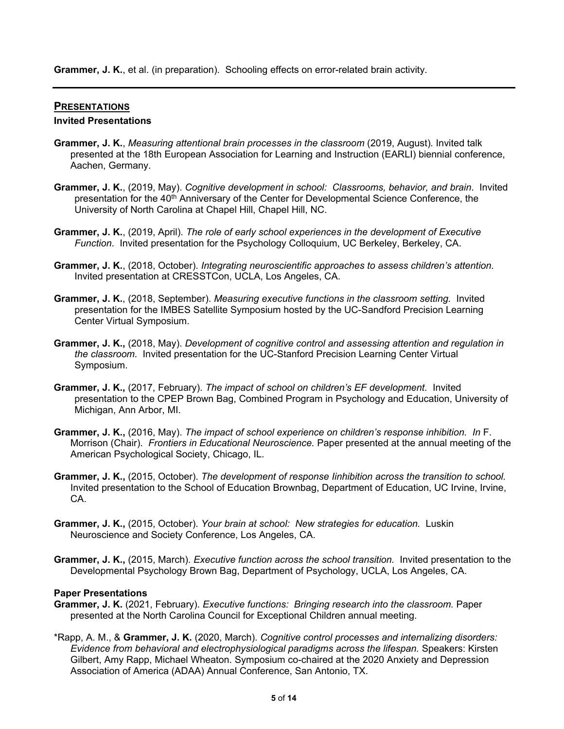**Grammer, J. K.**, et al. (in preparation). Schooling effects on error-related brain activity.

### **PRESENTATIONS**

#### **Invited Presentations**

- **Grammer, J. K.**, *Measuring attentional brain processes in the classroom* (2019, August)*.* Invited talk presented at the 18th European Association for Learning and Instruction (EARLI) biennial conference, Aachen, Germany.
- **Grammer, J. K.**, (2019, May). *Cognitive development in school: Classrooms, behavior, and brain*. Invited presentation for the 40<sup>th</sup> Anniversary of the Center for Developmental Science Conference, the University of North Carolina at Chapel Hill, Chapel Hill, NC.
- **Grammer, J. K.**, (2019, April). *The role of early school experiences in the development of Executive Function*. Invited presentation for the Psychology Colloquium, UC Berkeley, Berkeley, CA.
- **Grammer, J. K.**, (2018, October). *Integrating neuroscientific approaches to assess children's attention.* Invited presentation at CRESSTCon, UCLA, Los Angeles, CA.
- **Grammer, J. K.**, (2018, September). *Measuring executive functions in the classroom setting.* Invited presentation for the IMBES Satellite Symposium hosted by the UC-Sandford Precision Learning Center Virtual Symposium.
- **Grammer, J. K.,** (2018, May). *Development of cognitive control and assessing attention and regulation in the classroom.* Invited presentation for the UC-Stanford Precision Learning Center Virtual Symposium.
- **Grammer, J. K.,** (2017, February). *The impact of school on children's EF development.* Invited presentation to the CPEP Brown Bag, Combined Program in Psychology and Education, University of Michigan, Ann Arbor, MI.
- **Grammer, J. K.,** (2016, May). *The impact of school experience on children's response inhibition. In* F. Morrison (Chair). *Frontiers in Educational Neuroscience.* Paper presented at the annual meeting of the American Psychological Society, Chicago, IL.
- **Grammer, J. K.,** (2015, October). *The development of response Iinhibition across the transition to school.* Invited presentation to the School of Education Brownbag, Department of Education, UC Irvine, Irvine, CA.
- **Grammer, J. K.,** (2015, October). *Your brain at school: New strategies for education.* Luskin Neuroscience and Society Conference, Los Angeles, CA.
- **Grammer, J. K.,** (2015, March). *Executive function across the school transition.* Invited presentation to the Developmental Psychology Brown Bag, Department of Psychology, UCLA, Los Angeles, CA.

#### **Paper Presentations**

- **Grammer, J. K.** (2021, February). *Executive functions: Bringing research into the classroom.* Paper presented at the North Carolina Council for Exceptional Children annual meeting.
- \*Rapp, A. M., & **Grammer, J. K.** (2020, March). *Cognitive control processes and internalizing disorders: Evidence from behavioral and electrophysiological paradigms across the lifespan.* Speakers: Kirsten Gilbert, Amy Rapp, Michael Wheaton. Symposium co-chaired at the 2020 Anxiety and Depression Association of America (ADAA) Annual Conference, San Antonio, TX.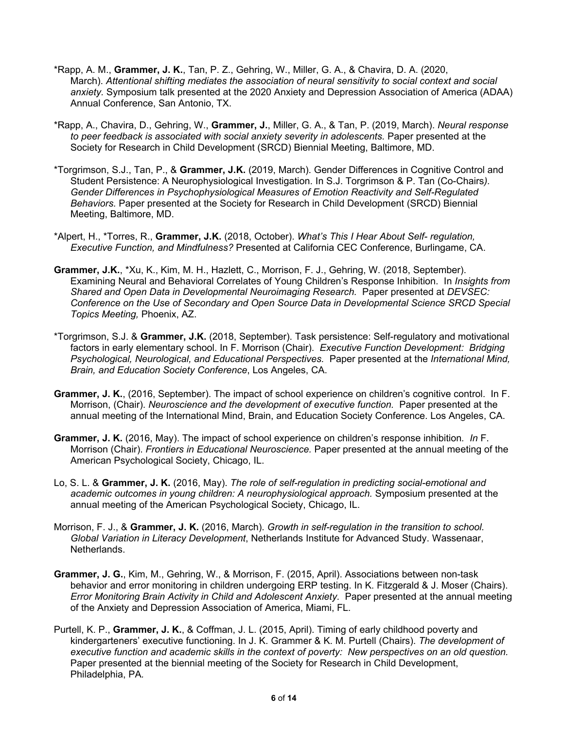- \*Rapp, A. M., **Grammer, J. K.**, Tan, P. Z., Gehring, W., Miller, G. A., & Chavira, D. A. (2020, March). *Attentional shifting mediates the association of neural sensitivity to social context and social anxiety.* Symposium talk presented at the 2020 Anxiety and Depression Association of America (ADAA) Annual Conference, San Antonio, TX.
- \*Rapp, A., Chavira, D., Gehring, W., **Grammer, J.**, Miller, G. A., & Tan, P. (2019, March). *Neural response*  to peer feedback is associated with social anxiety severity in adolescents. Paper presented at the Society for Research in Child Development (SRCD) Biennial Meeting, Baltimore, MD.
- \*Torgrimson, S.J., Tan, P., & **Grammer, J.K.** (2019, March). Gender Differences in Cognitive Control and Student Persistence: A Neurophysiological Investigation. In S.J. Torgrimson & P. Tan (Co-Chairs*). Gender Differences in Psychophysiological Measures of Emotion Reactivity and Self-Regulated Behaviors.* Paper presented at the Society for Research in Child Development (SRCD) Biennial Meeting, Baltimore, MD.
- \*Alpert, H., \*Torres, R., **Grammer, J.K.** (2018, October). *What's This I Hear About Self- regulation, Executive Function, and Mindfulness?* Presented at California CEC Conference, Burlingame, CA.
- **Grammer, J.K.**, \*Xu, K., Kim, M. H., Hazlett, C., Morrison, F. J., Gehring, W. (2018, September). Examining Neural and Behavioral Correlates of Young Children's Response Inhibition. In *Insights from Shared and Open Data in Developmental Neuroimaging Research.* Paper presented at *DEVSEC: Conference on the Use of Secondary and Open Source Data in Developmental Science SRCD Special Topics Meeting,* Phoenix, AZ.
- \*Torgrimson, S.J. & **Grammer, J.K.** (2018, September). Task persistence: Self-regulatory and motivational factors in early elementary school. In F. Morrison (Chair). *Executive Function Development: Bridging Psychological, Neurological, and Educational Perspectives.* Paper presented at the *International Mind, Brain, and Education Society Conference*, Los Angeles, CA.
- **Grammer, J. K.**, (2016, September). The impact of school experience on children's cognitive control. In F. Morrison, (Chair). *Neuroscience and the development of executive function.* Paper presented at the annual meeting of the International Mind, Brain, and Education Society Conference. Los Angeles, CA.
- **Grammer, J. K.** (2016, May). The impact of school experience on children's response inhibition*. In* F. Morrison (Chair). *Frontiers in Educational Neuroscience.* Paper presented at the annual meeting of the American Psychological Society, Chicago, IL.
- Lo, S. L. & **Grammer, J. K.** (2016, May). *The role of self-regulation in predicting social-emotional and academic outcomes in young children: A neurophysiological approach.* Symposium presented at the annual meeting of the American Psychological Society, Chicago, IL.
- Morrison, F. J., & **Grammer, J. K.** (2016, March). *Growth in self-regulation in the transition to school. Global Variation in Literacy Development*, Netherlands Institute for Advanced Study. Wassenaar, Netherlands.
- **Grammer, J. G.**, Kim, M., Gehring, W., & Morrison, F. (2015, April). Associations between non-task behavior and error monitoring in children undergoing ERP testing. In K. Fitzgerald & J. Moser (Chairs). *Error Monitoring Brain Activity in Child and Adolescent Anxiety.* Paper presented at the annual meeting of the Anxiety and Depression Association of America, Miami, FL*.*
- Purtell, K. P., **Grammer, J. K.**, & Coffman, J. L. (2015, April). Timing of early childhood poverty and kindergarteners' executive functioning. In J. K. Grammer & K. M. Purtell (Chairs). *The development of executive function and academic skills in the context of poverty: New perspectives on an old question.* Paper presented at the biennial meeting of the Society for Research in Child Development, Philadelphia, PA*.*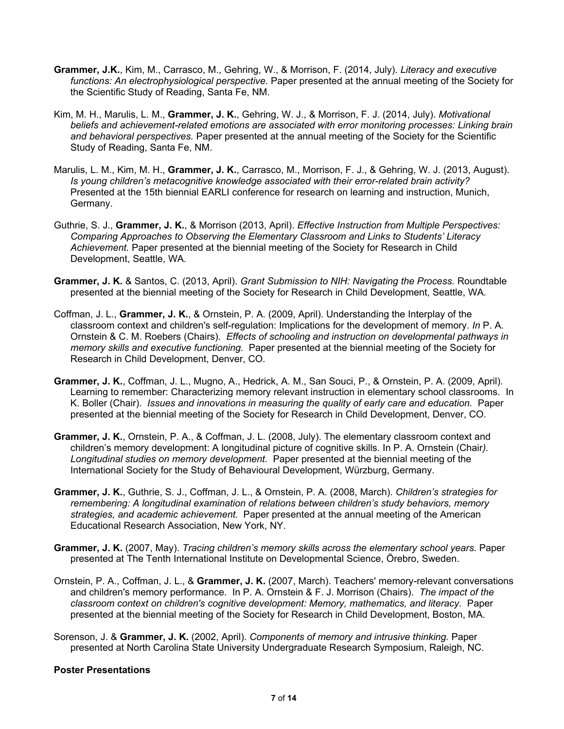- **Grammer, J.K.**, Kim, M., Carrasco, M., Gehring, W., & Morrison, F. (2014, July). *Literacy and executive functions: An electrophysiological perspective.* Paper presented at the annual meeting of the Society for the Scientific Study of Reading, Santa Fe, NM.
- Kim, M. H., Marulis, L. M., **Grammer, J. K.**, Gehring, W. J., & Morrison, F. J. (2014, July). *Motivational beliefs and achievement-related emotions are associated with error monitoring processes: Linking brain and behavioral perspectives.* Paper presented at the annual meeting of the Society for the Scientific Study of Reading, Santa Fe, NM.
- Marulis, L. M., Kim, M. H., **Grammer, J. K.**, Carrasco, M., Morrison, F. J., & Gehring, W. J. (2013, August). *Is young children's metacognitive knowledge associated with their error-related brain activity?* Presented at the 15th biennial EARLI conference for research on learning and instruction, Munich, Germany.
- Guthrie, S. J., **Grammer, J. K.**, & Morrison (2013, April). *Effective Instruction from Multiple Perspectives: Comparing Approaches to Observing the Elementary Classroom and Links to Students' Literacy Achievement.* Paper presented at the biennial meeting of the Society for Research in Child Development, Seattle, WA*.*
- **Grammer, J. K.** & Santos, C. (2013, April). *Grant Submission to NIH: Navigating the Process.* Roundtable presented at the biennial meeting of the Society for Research in Child Development, Seattle, WA*.*
- Coffman, J. L., **Grammer, J. K.**, & Ornstein, P. A. (2009, April). Understanding the Interplay of the classroom context and children's self-regulation: Implications for the development of memory. *In* P. A. Ornstein & C. M. Roebers (Chairs). *Effects of schooling and instruction on developmental pathways in memory skills and executive functioning.* Paper presented at the biennial meeting of the Society for Research in Child Development, Denver, CO*.*
- **Grammer, J. K.**, Coffman, J. L., Mugno, A., Hedrick, A. M., San Souci, P., & Ornstein, P. A. (2009, April). Learning to remember: Characterizing memory relevant instruction in elementary school classrooms. In K. Boller (Chair). *Issues and innovations in measuring the quality of early care and education.* Paper presented at the biennial meeting of the Society for Research in Child Development, Denver, CO*.*
- **Grammer, J. K.**, Ornstein, P. A., & Coffman, J. L. (2008, July). The elementary classroom context and children's memory development: A longitudinal picture of cognitive skills*.* In P. A. Ornstein (Chair*). Longitudinal studies on memory development.* Paper presented at the biennial meeting of the International Society for the Study of Behavioural Development, Würzburg, Germany*.*
- **Grammer, J. K.**, Guthrie, S. J., Coffman, J. L., & Ornstein, P. A. (2008, March). *Children's strategies for remembering: A longitudinal examination of relations between children's study behaviors, memory strategies, and academic achievement.* Paper presented at the annual meeting of the American Educational Research Association, New York, NY.
- **Grammer, J. K.** (2007, May). *Tracing children's memory skills across the elementary school years.* Paper presented at The Tenth International Institute on Developmental Science, Örebro, Sweden.
- Ornstein, P. A., Coffman, J. L., & **Grammer, J. K.** (2007, March). Teachers' memory-relevant conversations and children's memory performance. In P. A. Ornstein & F. J. Morrison (Chairs). *The impact of the classroom context on children's cognitive development: Memory, mathematics, and literacy.* Paper presented at the biennial meeting of the Society for Research in Child Development, Boston, MA*.*
- Sorenson, J. & **Grammer, J. K.** (2002, April). *Components of memory and intrusive thinking.* Paper presented at North Carolina State University Undergraduate Research Symposium, Raleigh, NC.

#### **Poster Presentations**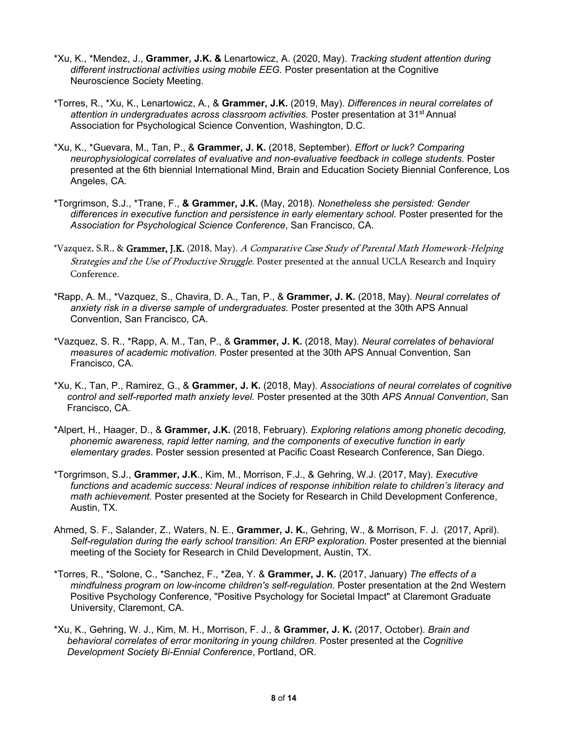- \*Xu, K., \*Mendez, J., **Grammer, J.K. &** Lenartowicz, A. (2020, May). *Tracking student attention during different instructional activities using mobile EEG.* Poster presentation at the Cognitive Neuroscience Society Meeting.
- \*Torres, R., \*Xu, K., Lenartowicz, A., & **Grammer, J.K.** (2019, May). *Differences in neural correlates of attention in undergraduates across classroom activities.* Poster presentation at 31st Annual Association for Psychological Science Convention, Washington, D.C.
- \*Xu, K., \*Guevara, M., Tan, P., & **Grammer, J. K.** (2018, September). *Effort or luck? Comparing neurophysiological correlates of evaluative and non-evaluative feedback in college students.* Poster presented at the 6th biennial International Mind, Brain and Education Society Biennial Conference, Los Angeles, CA.
- \*Torgrimson, S.J., \*Trane, F., **& Grammer, J.K.** (May, 2018). *Nonetheless she persisted: Gender differences in executive function and persistence in early elementary school.* Poster presented for the *Association for Psychological Science Conference*, San Francisco, CA.
- \*Vazquez, S.R., & Grammer, J.K. (2018, May). A Comparative Case Study of Parental Math Homework-Helping Strategies and the Use of Productive Struggle. Poster presented at the annual UCLA Research and Inquiry Conference.
- \*Rapp, A. M., \*Vazquez, S., Chavira, D. A., Tan, P., & **Grammer, J. K.** (2018, May). *Neural correlates of anxiety risk in a diverse sample of undergraduates.* Poster presented at the 30th APS Annual Convention, San Francisco, CA.
- \*Vazquez, S. R., \*Rapp, A. M., Tan, P., & **Grammer, J. K.** (2018, May). *Neural correlates of behavioral measures of academic motivation.* Poster presented at the 30th APS Annual Convention, San Francisco, CA.
- \*Xu, K., Tan, P., Ramirez, G., & **Grammer, J. K.** (2018, May). *Associations of neural correlates of cognitive control and self-reported math anxiety level.* Poster presented at the 30th *APS Annual Convention*, San Francisco, CA.
- \*Alpert, H., Haager, D., & **Grammer, J.K.** (2018, February). *Exploring relations among phonetic decoding, phonemic awareness, rapid letter naming, and the components of executive function in early elementary grades*. Poster session presented at Pacific Coast Research Conference, San Diego.
- \*Torgrimson, S.J., **Grammer, J.K**., Kim, M., Morrison, F.J., & Gehring, W.J. (2017, May). *Executive functions and academic success: Neural indices of response inhibition relate to children's literacy and math achievement.* Poster presented at the Society for Research in Child Development Conference, Austin, TX.
- Ahmed, S. F., Salander, Z., Waters, N. E., **Grammer, J. K.**, Gehring, W., & Morrison, F. J. (2017, April). *Self-regulation during the early school transition: An ERP exploration.* Poster presented at the biennial meeting of the Society for Research in Child Development, Austin, TX.
- \*Torres, R., \*Solone, C., \*Sanchez, F., \*Zea, Y. & **Grammer, J. K.** (2017, January) *The effects of a mindfulness program on low-income children's self-regulation.* Poster presentation at the 2nd Western Positive Psychology Conference, "Positive Psychology for Societal Impact" at Claremont Graduate University, Claremont, CA.
- \*Xu, K., Gehring, W. J., Kim, M. H., Morrison, F. J., & **Grammer, J. K.** (2017, October). *Brain and behavioral correlates of error monitoring in young children.* Poster presented at the *Cognitive Development Society Bi-Ennial Conference*, Portland, OR.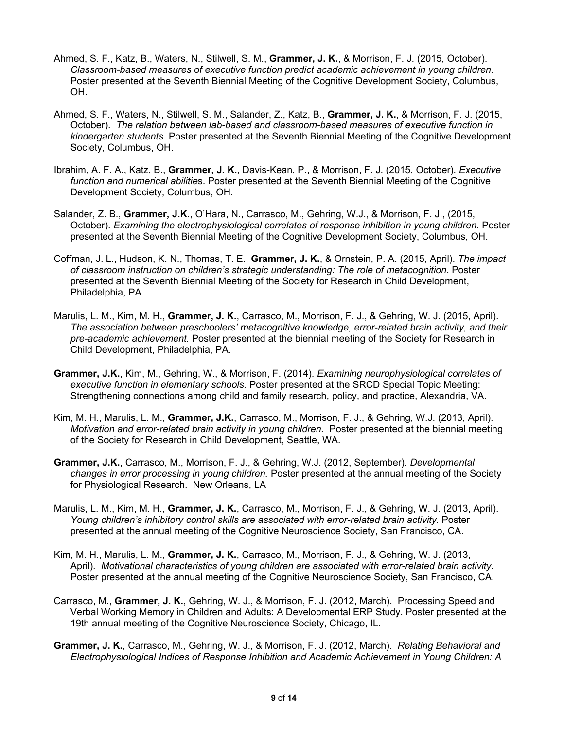- Ahmed, S. F., Katz, B., Waters, N., Stilwell, S. M., **Grammer, J. K.**, & Morrison, F. J. (2015, October). *Classroom-based measures of executive function predict academic achievement in young children.* Poster presented at the Seventh Biennial Meeting of the Cognitive Development Society, Columbus, OH.
- Ahmed, S. F., Waters, N., Stilwell, S. M., Salander, Z., Katz, B., **Grammer, J. K.**, & Morrison, F. J. (2015, October). *The relation between lab-based and classroom-based measures of executive function in kindergarten students.* Poster presented at the Seventh Biennial Meeting of the Cognitive Development Society, Columbus, OH.
- Ibrahim, A. F. A., Katz, B., **Grammer, J. K.**, Davis-Kean, P., & Morrison, F. J. (2015, October)*. Executive function and numerical abilitie*s. Poster presented at the Seventh Biennial Meeting of the Cognitive Development Society, Columbus, OH.
- Salander, Z. B., **Grammer, J.K.**, O'Hara, N., Carrasco, M., Gehring, W.J., & Morrison, F. J., (2015, October). *Examining the electrophysiological correlates of response inhibition in young children.* Poster presented at the Seventh Biennial Meeting of the Cognitive Development Society, Columbus, OH.
- Coffman, J. L., Hudson, K. N., Thomas, T. E., **Grammer, J. K.**, & Ornstein, P. A. (2015, April). *The impact of classroom instruction on children's strategic understanding: The role of metacognition*. Poster presented at the Seventh Biennial Meeting of the Society for Research in Child Development, Philadelphia, PA.
- Marulis, L. M., Kim, M. H., **Grammer, J. K.**, Carrasco, M., Morrison, F. J., & Gehring, W. J. (2015, April). *The association between preschoolers' metacognitive knowledge, error-related brain activity, and their pre-academic achievement.* Poster presented at the biennial meeting of the Society for Research in Child Development, Philadelphia, PA*.*
- **Grammer, J.K.**, Kim, M., Gehring, W., & Morrison, F. (2014). *Examining neurophysiological correlates of executive function in elementary schools.* Poster presented at the SRCD Special Topic Meeting: Strengthening connections among child and family research, policy, and practice, Alexandria, VA.
- Kim, M. H., Marulis, L. M., **Grammer, J.K.**, Carrasco, M., Morrison, F. J., & Gehring, W.J. (2013, April). *Motivation and error-related brain activity in young children.* Poster presented at the biennial meeting of the Society for Research in Child Development, Seattle, WA*.*
- **Grammer, J.K.**, Carrasco, M., Morrison, F. J., & Gehring, W.J. (2012, September). *Developmental changes in error processing in young children.* Poster presented at the annual meeting of the Society for Physiological Research. New Orleans, LA
- Marulis, L. M., Kim, M. H., **Grammer, J. K.**, Carrasco, M., Morrison, F. J., & Gehring, W. J. (2013, April). *Young children's inhibitory control skills are associated with error-related brain activity.* Poster presented at the annual meeting of the Cognitive Neuroscience Society, San Francisco, CA.
- Kim, M. H., Marulis, L. M., **Grammer, J. K.**, Carrasco, M., Morrison, F. J., & Gehring, W. J. (2013, April). *Motivational characteristics of young children are associated with error-related brain activity.* Poster presented at the annual meeting of the Cognitive Neuroscience Society, San Francisco, CA.
- Carrasco, M., **Grammer, J. K.**, Gehring, W. J., & Morrison, F. J. (2012, March). Processing Speed and Verbal Working Memory in Children and Adults: A Developmental ERP Study. Poster presented at the 19th annual meeting of the Cognitive Neuroscience Society, Chicago, IL.
- **Grammer, J. K.**, Carrasco, M., Gehring, W. J., & Morrison, F. J. (2012, March). *Relating Behavioral and Electrophysiological Indices of Response Inhibition and Academic Achievement in Young Children: A*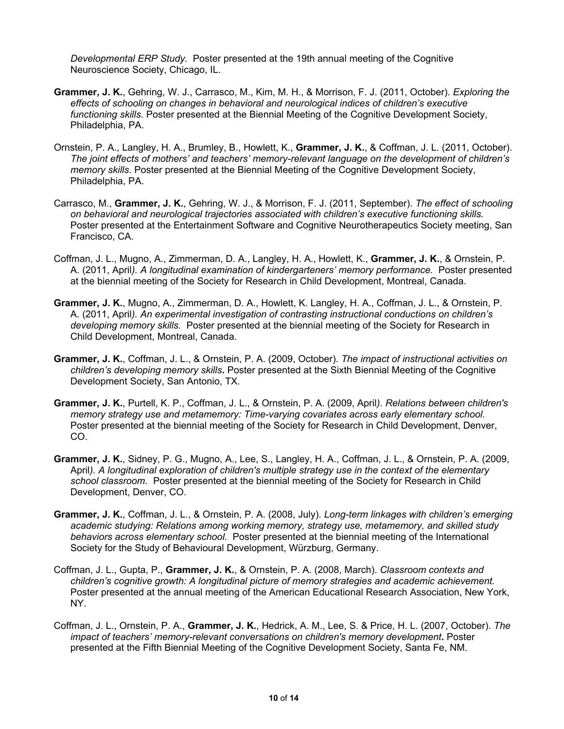*Developmental ERP Study.* Poster presented at the 19th annual meeting of the Cognitive Neuroscience Society, Chicago, IL.

- **Grammer, J. K.**, Gehring, W. J., Carrasco, M., Kim, M. H., & Morrison, F. J. (2011, October). *Exploring the effects of schooling on changes in behavioral and neurological indices of children's executive functioning skills.* Poster presented at the Biennial Meeting of the Cognitive Development Society, Philadelphia, PA.
- Ornstein, P. A., Langley, H. A., Brumley, B., Howlett, K., **Grammer, J. K.**, & Coffman, J. L. (2011, October). *The joint effects of mothers' and teachers' memory-relevant language on the development of children's memory skills*. Poster presented at the Biennial Meeting of the Cognitive Development Society, Philadelphia, PA.
- Carrasco, M., **Grammer, J. K.**, Gehring, W. J., & Morrison, F. J. (2011, September). *The effect of schooling on behavioral and neurological trajectories associated with children's executive functioning skills.* Poster presented at the Entertainment Software and Cognitive Neurotherapeutics Society meeting, San Francisco, CA.
- Coffman, J. L., Mugno, A., Zimmerman, D. A., Langley, H. A., Howlett, K., **Grammer, J. K.**, & Ornstein, P. A. (2011, April*). A longitudinal examination of kindergarteners' memory performance.* Poster presented at the biennial meeting of the Society for Research in Child Development, Montreal, Canada.
- **Grammer, J. K.**, Mugno, A., Zimmerman, D. A., Howlett, K. Langley, H. A., Coffman, J. L., & Ornstein, P. A. (2011, April*). An experimental investigation of contrasting instructional conductions on children's developing memory skills.* Poster presented at the biennial meeting of the Society for Research in Child Development, Montreal, Canada.
- **Grammer, J. K.**, Coffman, J. L., & Ornstein, P. A. (2009, October). *The impact of instructional activities on children's developing memory skills***.** Poster presented at the Sixth Biennial Meeting of the Cognitive Development Society, San Antonio, TX.
- **Grammer, J. K.**, Purtell, K. P., Coffman, J. L., & Ornstein, P. A. (2009, April*). Relations between children's memory strategy use and metamemory: Time-varying covariates across early elementary school.*  Poster presented at the biennial meeting of the Society for Research in Child Development, Denver, CO.
- **Grammer, J. K.**, Sidney, P. G., Mugno, A., Lee, S., Langley, H. A., Coffman, J. L., & Ornstein, P. A. (2009, April*). A longitudinal exploration of children's multiple strategy use in the context of the elementary school classroom.* Poster presented at the biennial meeting of the Society for Research in Child Development, Denver, CO.
- **Grammer, J. K.**, Coffman, J. L., & Ornstein, P. A. (2008, July). *Long-term linkages with children's emerging academic studying: Relations among working memory, strategy use, metamemory, and skilled study behaviors across elementary school.* Poster presented at the biennial meeting of the International Society for the Study of Behavioural Development, Würzburg, Germany.
- Coffman, J. L., Gupta, P., **Grammer, J. K.**, & Ornstein, P. A. (2008, March). *Classroom contexts and children's cognitive growth: A longitudinal picture of memory strategies and academic achievement.*  Poster presented at the annual meeting of the American Educational Research Association, New York, NY.
- Coffman, J. L., Ornstein, P. A., **Grammer, J. K.**, Hedrick, A. M., Lee, S. & Price, H. L. (2007, October). *The impact of teachers' memory-relevant conversations on children's memory development***.** Poster presented at the Fifth Biennial Meeting of the Cognitive Development Society, Santa Fe, NM.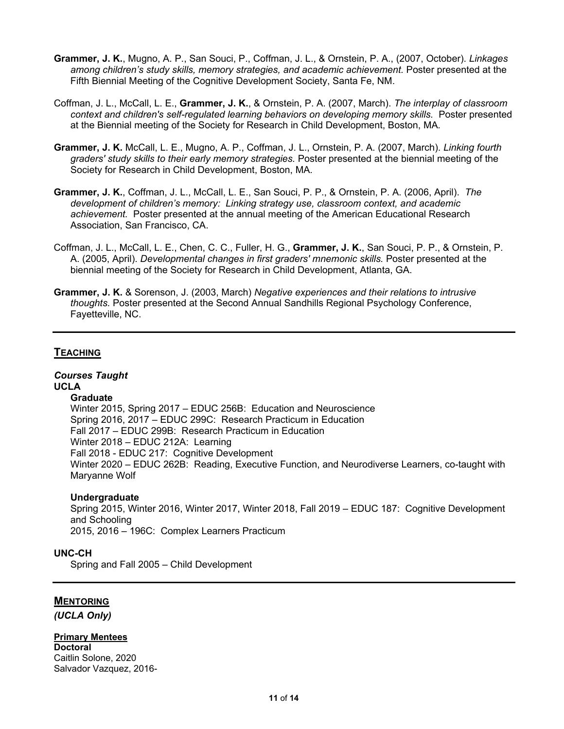- **Grammer, J. K.**, Mugno, A. P., San Souci, P., Coffman, J. L., & Ornstein, P. A., (2007, October). *Linkages among children's study skills, memory strategies, and academic achievement.* Poster presented at the Fifth Biennial Meeting of the Cognitive Development Society, Santa Fe, NM.
- Coffman, J. L., McCall, L. E., **Grammer, J. K.**, & Ornstein, P. A. (2007, March). *The interplay of classroom context and children's self-regulated learning behaviors on developing memory skills.* Poster presented at the Biennial meeting of the Society for Research in Child Development, Boston, MA*.*
- **Grammer, J. K.** McCall, L. E., Mugno, A. P., Coffman, J. L., Ornstein, P. A. (2007, March). *Linking fourth graders' study skills to their early memory strategies.* Poster presented at the biennial meeting of the Society for Research in Child Development, Boston, MA*.*
- **Grammer, J. K.**, Coffman, J. L., McCall, L. E., San Souci, P. P., & Ornstein, P. A. (2006, April). *The development of children's memory: Linking strategy use, classroom context, and academic achievement.* Poster presented at the annual meeting of the American Educational Research Association, San Francisco, CA.
- Coffman, J. L., McCall, L. E., Chen, C. C., Fuller, H. G., **Grammer, J. K.**, San Souci, P. P., & Ornstein, P. A. (2005, April). *Developmental changes in first graders' mnemonic skills.* Poster presented at the biennial meeting of the Society for Research in Child Development, Atlanta, GA.
- **Grammer, J. K.** & Sorenson, J. (2003, March) *Negative experiences and their relations to intrusive thoughts.* Poster presented at the Second Annual Sandhills Regional Psychology Conference, Fayetteville, NC.

## **TEACHING**

#### *Courses Taught* **UCLA**

#### **Graduate**

Winter 2015, Spring 2017 – EDUC 256B: Education and Neuroscience Spring 2016, 2017 – EDUC 299C: Research Practicum in Education Fall 2017 – EDUC 299B: Research Practicum in Education Winter 2018 – EDUC 212A: Learning Fall 2018 - EDUC 217: Cognitive Development Winter 2020 – EDUC 262B: Reading, Executive Function, and Neurodiverse Learners, co-taught with Maryanne Wolf

#### **Undergraduate**

Spring 2015, Winter 2016, Winter 2017, Winter 2018, Fall 2019 – EDUC 187: Cognitive Development and Schooling 2015, 2016 – 196C: Complex Learners Practicum

#### **UNC-CH**

Spring and Fall 2005 – Child Development

### **MENTORING**

*(UCLA Only)*

### **Primary Mentees**

**Doctoral**  Caitlin Solone, 2020 Salvador Vazquez, 2016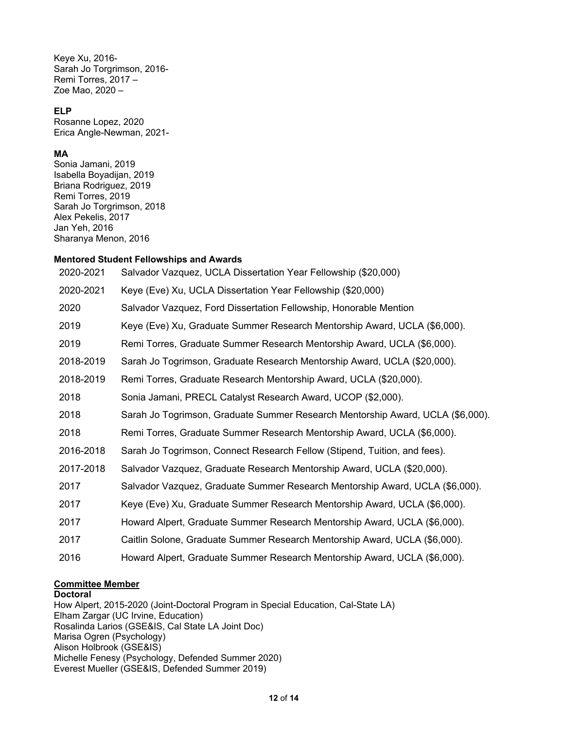Keye Xu, 2016- Sarah Jo Torgrimson, 2016- Remi Torres, 2017 – Zoe Mao, 2020 –

#### **ELP**

Rosanne Lopez, 2020 Erica Angle-Newman, 2021-

### **MA**

Sonia Jamani, 2019 Isabella Boyadijan, 2019 Briana Rodriguez, 2019 Remi Torres, 2019 Sarah Jo Torgrimson, 2018 Alex Pekelis, 2017 Jan Yeh, 2016 Sharanya Menon, 2016

#### **Mentored Student Fellowships and Awards**

| 2020-2021 | Salvador Vazquez, UCLA Dissertation Year Fellowship (\$20,000)                 |
|-----------|--------------------------------------------------------------------------------|
| 2020-2021 | Keye (Eve) Xu, UCLA Dissertation Year Fellowship (\$20,000)                    |
| 2020      | Salvador Vazquez, Ford Dissertation Fellowship, Honorable Mention              |
| 2019      | Keye (Eve) Xu, Graduate Summer Research Mentorship Award, UCLA (\$6,000).      |
| 2019      | Remi Torres, Graduate Summer Research Mentorship Award, UCLA (\$6,000).        |
| 2018-2019 | Sarah Jo Togrimson, Graduate Research Mentorship Award, UCLA (\$20,000).       |
| 2018-2019 | Remi Torres, Graduate Research Mentorship Award, UCLA (\$20,000).              |
| 2018      | Sonia Jamani, PRECL Catalyst Research Award, UCOP (\$2,000).                   |
| 2018      | Sarah Jo Togrimson, Graduate Summer Research Mentorship Award, UCLA (\$6,000). |
| 2018      | Remi Torres, Graduate Summer Research Mentorship Award, UCLA (\$6,000).        |
| 2016-2018 | Sarah Jo Togrimson, Connect Research Fellow (Stipend, Tuition, and fees).      |
| 2017-2018 | Salvador Vazquez, Graduate Research Mentorship Award, UCLA (\$20,000).         |
| 2017      | Salvador Vazquez, Graduate Summer Research Mentorship Award, UCLA (\$6,000).   |
| 2017      | Keye (Eve) Xu, Graduate Summer Research Mentorship Award, UCLA (\$6,000).      |
| 2017      | Howard Alpert, Graduate Summer Research Mentorship Award, UCLA (\$6,000).      |
| 2017      | Caitlin Solone, Graduate Summer Research Mentorship Award, UCLA (\$6,000).     |
| 2016      | Howard Alpert, Graduate Summer Research Mentorship Award, UCLA (\$6,000).      |

## **Committee Member**

#### **Doctoral**

How Alpert, 2015-2020 (Joint-Doctoral Program in Special Education, Cal-State LA) Elham Zargar (UC Irvine, Education) Rosalinda Larios (GSE&IS, Cal State LA Joint Doc) Marisa Ogren (Psychology) Alison Holbrook (GSE&IS) Michelle Fenesy (Psychology, Defended Summer 2020) Everest Mueller (GSE&IS, Defended Summer 2019)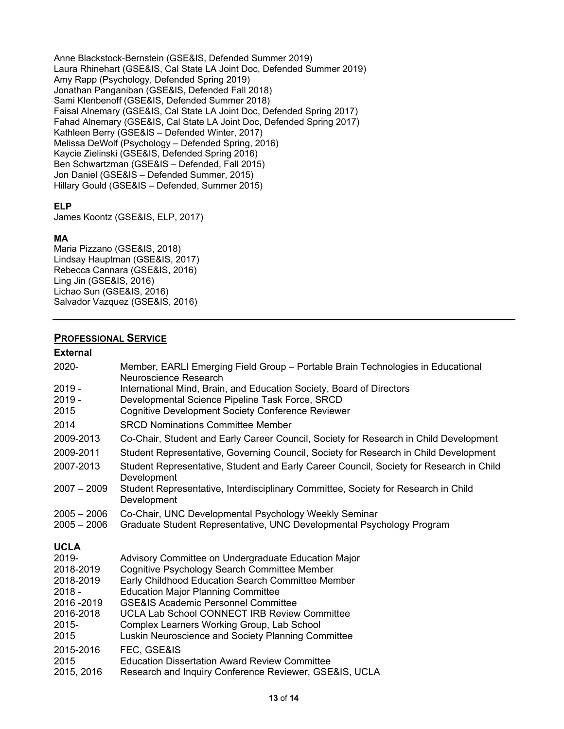Anne Blackstock-Bernstein (GSE&IS, Defended Summer 2019) Laura Rhinehart (GSE&IS, Cal State LA Joint Doc, Defended Summer 2019) Amy Rapp (Psychology, Defended Spring 2019) Jonathan Panganiban (GSE&IS, Defended Fall 2018) Sami Klenbenoff (GSE&IS, Defended Summer 2018) Faisal Alnemary (GSE&IS, Cal State LA Joint Doc, Defended Spring 2017) Fahad Alnemary (GSE&IS, Cal State LA Joint Doc, Defended Spring 2017) Kathleen Berry (GSE&IS – Defended Winter, 2017) Melissa DeWolf (Psychology – Defended Spring, 2016) Kaycie Zielinski (GSE&IS, Defended Spring 2016) Ben Schwartzman (GSE&IS – Defended, Fall 2015) Jon Daniel (GSE&IS – Defended Summer, 2015) Hillary Gould (GSE&IS – Defended, Summer 2015)

## **ELP**

James Koontz (GSE&IS, ELP, 2017)

## **MA**

Maria Pizzano (GSE&IS, 2018) Lindsay Hauptman (GSE&IS, 2017) Rebecca Cannara (GSE&IS, 2016) Ling Jin (GSE&IS, 2016) Lichao Sun (GSE&IS, 2016) Salvador Vazquez (GSE&IS, 2016)

### **PROFESSIONAL SERVICE**

#### **External**

| 2020-                          | Member, EARLI Emerging Field Group - Portable Brain Technologies in Educational                                                                                                                              |
|--------------------------------|--------------------------------------------------------------------------------------------------------------------------------------------------------------------------------------------------------------|
| $2019 -$<br>$2019 -$<br>2015   | Neuroscience Research<br>International Mind, Brain, and Education Society, Board of Directors<br>Developmental Science Pipeline Task Force, SRCD<br><b>Cognitive Development Society Conference Reviewer</b> |
| 2014                           | <b>SRCD Nominations Committee Member</b>                                                                                                                                                                     |
| 2009-2013                      | Co-Chair, Student and Early Career Council, Society for Research in Child Development                                                                                                                        |
| 2009-2011                      | Student Representative, Governing Council, Society for Research in Child Development                                                                                                                         |
| 2007-2013                      | Student Representative, Student and Early Career Council, Society for Research in Child<br>Development                                                                                                       |
| $2007 - 2009$                  | Student Representative, Interdisciplinary Committee, Society for Research in Child<br>Development                                                                                                            |
| $2005 - 2006$<br>$2005 - 2006$ | Co-Chair, UNC Developmental Psychology Weekly Seminar<br>Graduate Student Representative, UNC Developmental Psychology Program                                                                               |
| <b>UCLA</b>                    |                                                                                                                                                                                                              |
| 2019-                          | Advisory Committee on Undergraduate Education Major                                                                                                                                                          |
| 2018-2019                      | Cognitive Psychology Search Committee Member                                                                                                                                                                 |
| 2018-2019                      | Early Childhood Education Search Committee Member                                                                                                                                                            |
| $2018 -$<br>2016 - 2019        | <b>Education Major Planning Committee</b><br><b>GSE&amp;IS Academic Personnel Committee</b>                                                                                                                  |
| 2016-2018                      | <b>UCLA Lab School CONNECT IRB Review Committee</b>                                                                                                                                                          |
| 2015-                          | Complex Learners Working Group, Lab School                                                                                                                                                                   |
| 2015                           | Luskin Neuroscience and Society Planning Committee                                                                                                                                                           |
| 2015-2016                      | FEC, GSE&IS                                                                                                                                                                                                  |
| 2015                           | <b>Education Dissertation Award Review Committee</b>                                                                                                                                                         |
| 2015, 2016                     | Research and Inquiry Conference Reviewer, GSE&IS, UCLA                                                                                                                                                       |